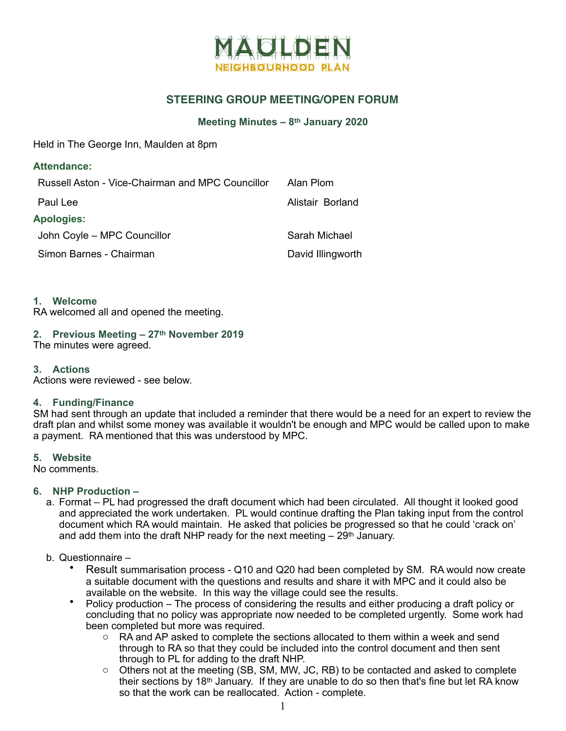

## **STEERING GROUP MEETING/OPEN FORUM**

#### **Meeting Minutes – 8th January 2020**

Held in The George Inn, Maulden at 8pm

| <b>Attendance:</b>                               |                   |
|--------------------------------------------------|-------------------|
| Russell Aston - Vice-Chairman and MPC Councillor | Alan Plom         |
| Paul Lee                                         | Alistair Borland  |
| <b>Apologies:</b>                                |                   |
| John Coyle - MPC Councillor                      | Sarah Michael     |
| Simon Barnes - Chairman                          | David Illingworth |

#### **1. Welcome**

RA welcomed all and opened the meeting.

# **2. Previous Meeting – 27th November 2019**

The minutes were agreed.

### **3. Actions**

Actions were reviewed - see below.

### **4. Funding/Finance**

SM had sent through an update that included a reminder that there would be a need for an expert to review the draft plan and whilst some money was available it wouldn't be enough and MPC would be called upon to make a payment. RA mentioned that this was understood by MPC.

### **5. Website**

No comments.

### **6. NHP Production –**

a. Format – PL had progressed the draft document which had been circulated. All thought it looked good and appreciated the work undertaken. PL would continue drafting the Plan taking input from the control document which RA would maintain. He asked that policies be progressed so that he could 'crack on' and add them into the draft NHP ready for the next meeting  $-29<sup>th</sup>$  January.

### b. Questionnaire –

- Result summarisation process Q10 and Q20 had been completed by SM. RA would now create a suitable document with the questions and results and share it with MPC and it could also be available on the website. In this way the village could see the results.
- Policy production The process of considering the results and either producing a draft policy or concluding that no policy was appropriate now needed to be completed urgently. Some work had been completed but more was required.
	- $\circ$  RA and AP asked to complete the sections allocated to them within a week and send through to RA so that they could be included into the control document and then sent through to PL for adding to the draft NHP.
	- $\circ$  Others not at the meeting (SB, SM, MW, JC, RB) to be contacted and asked to complete their sections by 18th January. If they are unable to do so then that's fine but let RA know so that the work can be reallocated. Action - complete.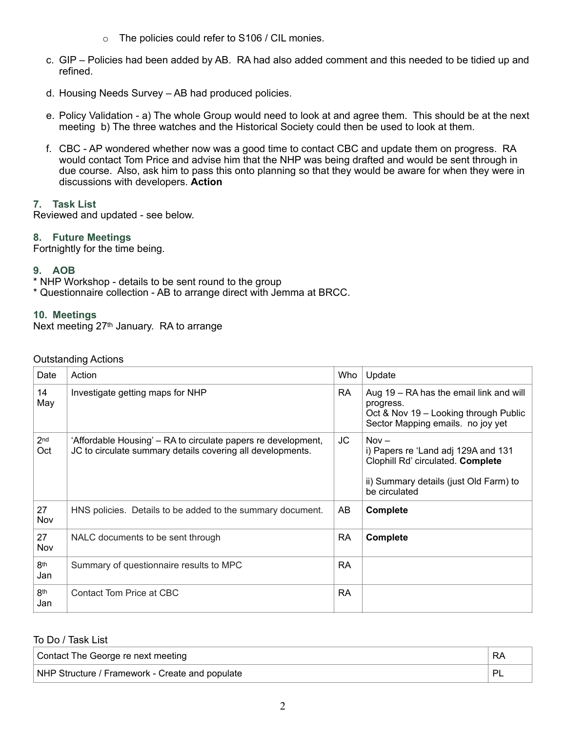- o The policies could refer to S106 / CIL monies.
- c. GIP Policies had been added by AB. RA had also added comment and this needed to be tidied up and refined.
- d. Housing Needs Survey AB had produced policies.
- e. Policy Validation a) The whole Group would need to look at and agree them. This should be at the next meeting b) The three watches and the Historical Society could then be used to look at them.
- f. CBC AP wondered whether now was a good time to contact CBC and update them on progress. RA would contact Tom Price and advise him that the NHP was being drafted and would be sent through in due course. Also, ask him to pass this onto planning so that they would be aware for when they were in discussions with developers. **Action**

## **7. Task List**

Reviewed and updated - see below.

## **8. Future Meetings**

Fortnightly for the time being.

## **9. AOB**

\* NHP Workshop - details to be sent round to the group

\* Questionnaire collection - AB to arrange direct with Jemma at BRCC.

## **10. Meetings**

Next meeting 27th January. RA to arrange

| Date                   | Action                                                                                                                      | Who       | Update                                                                                                                                         |
|------------------------|-----------------------------------------------------------------------------------------------------------------------------|-----------|------------------------------------------------------------------------------------------------------------------------------------------------|
| 14<br>May              | Investigate getting maps for NHP                                                                                            | <b>RA</b> | Aug 19 – RA has the email link and will<br>progress.<br>Oct & Nov 19 - Looking through Public<br>Sector Mapping emails. no joy yet             |
| 2 <sub>nd</sub><br>Oct | 'Affordable Housing' – RA to circulate papers re development,<br>JC to circulate summary details covering all developments. | JC        | $Nov -$<br>i) Papers re 'Land adj 129A and 131<br>Clophill Rd' circulated. Complete<br>ii) Summary details (just Old Farm) to<br>be circulated |
| 27<br>Nov              | HNS policies. Details to be added to the summary document.                                                                  | AB        | <b>Complete</b>                                                                                                                                |
| 27<br>Nov              | NALC documents to be sent through                                                                                           | <b>RA</b> | Complete                                                                                                                                       |
| 8 <sup>th</sup><br>Jan | Summary of questionnaire results to MPC                                                                                     | <b>RA</b> |                                                                                                                                                |
| 8 <sup>th</sup><br>Jan | Contact Tom Price at CBC                                                                                                    | <b>RA</b> |                                                                                                                                                |

### To Do / Task List

| Contact The George re next meeting              | RA |
|-------------------------------------------------|----|
| NHP Structure / Framework - Create and populate |    |